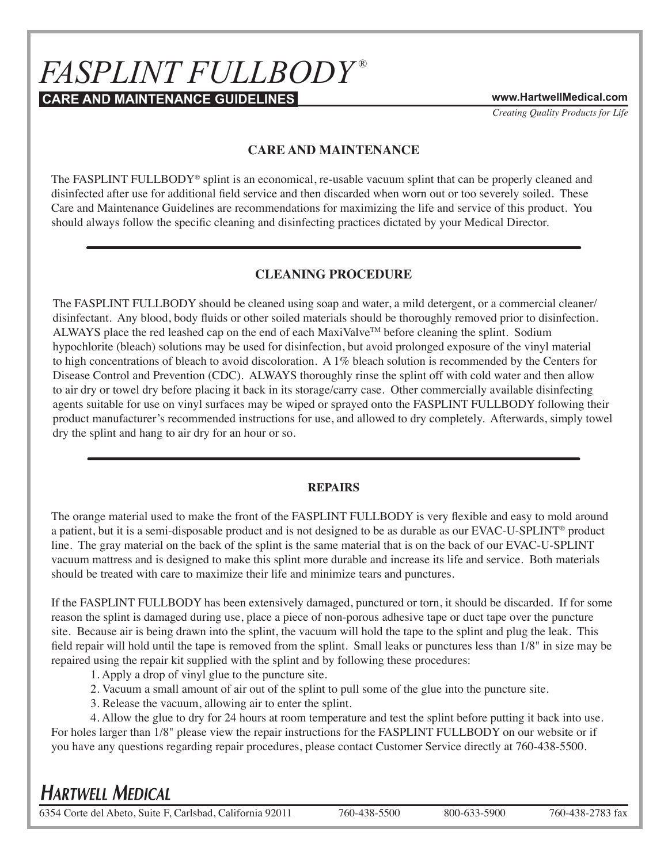# $FASPLINT$   $FULLBODY^{\circledast}$

**CARE AND MAINTENANCE GUIDELINES www.HartwellMedical.com**

*Creating Quality Products for Life*

## **CARE AND MAINTENANCE**

The FASPLINT FULLBODY<sup>®</sup> splint is an economical, re-usable vacuum splint that can be properly cleaned and disinfected after use for additional field service and then discarded when worn out or too severely soiled. These Care and Maintenance Guidelines are recommendations for maximizing the life and service of this product. You should always follow the specific cleaning and disinfecting practices dictated by your Medical Director.

## **CLEANING PROCEDURE**

The FASPLINT FULLBODY should be cleaned using soap and water, a mild detergent, or a commercial cleaner/ disinfectant. Any blood, body fluids or other soiled materials should be thoroughly removed prior to disinfection. ALWAYS place the red leashed cap on the end of each MaxiValve™ before cleaning the splint. Sodium hypochlorite (bleach) solutions may be used for disinfection, but avoid prolonged exposure of the vinyl material to high concentrations of bleach to avoid discoloration. A 1% bleach solution is recommended by the Centers for Disease Control and Prevention (CDC). ALWAYS thoroughly rinse the splint off with cold water and then allow to air dry or towel dry before placing it back in its storage/carry case. Other commercially available disinfecting agents suitable for use on vinyl surfaces may be wiped or sprayed onto the FASPLINT FULLBODY following their product manufacturer's recommended instructions for use, and allowed to dry completely. Afterwards, simply towel dry the splint and hang to air dry for an hour or so.

### **REPAIRS**

The orange material used to make the front of the FASPLINT FULLBODY is very flexible and easy to mold around a patient, but it is a semi-disposable product and is not designed to be as durable as our EVAC-U-SPLINT® product line. The gray material on the back of the splint is the same material that is on the back of our EVAC-U-SPLINT vacuum mattress and is designed to make this splint more durable and increase its life and service. Both materials should be treated with care to maximize their life and minimize tears and punctures.

If the FASPLINT FULLBODY has been extensively damaged, punctured or torn, it should be discarded. If for some reason the splint is damaged during use, place a piece of non-porous adhesive tape or duct tape over the puncture site. Because air is being drawn into the splint, the vacuum will hold the tape to the splint and plug the leak. This field repair will hold until the tape is removed from the splint. Small leaks or punctures less than 1/8" in size may be repaired using the repair kit supplied with the splint and by following these procedures:

1. Apply a drop of vinyl glue to the puncture site.

- 2. Vacuum a small amount of air out of the splint to pull some of the glue into the puncture site.
- 3. Release the vacuum, allowing air to enter the splint.
- 4. Allow the glue to dry for 24 hours at room temperature and test the splint before putting it back into use.

For holes larger than 1/8" please view the repair instructions for the FASPLINT FULLBODY on our website or if you have any questions regarding repair procedures, please contact Customer Service directly at 760-438-5500.

## **HARTWELL MEDICAL**

6354 Corte del Abeto, Suite F, Carlsbad, California 92011 760-438-5500 800-633-5900 760-438-2783 fax